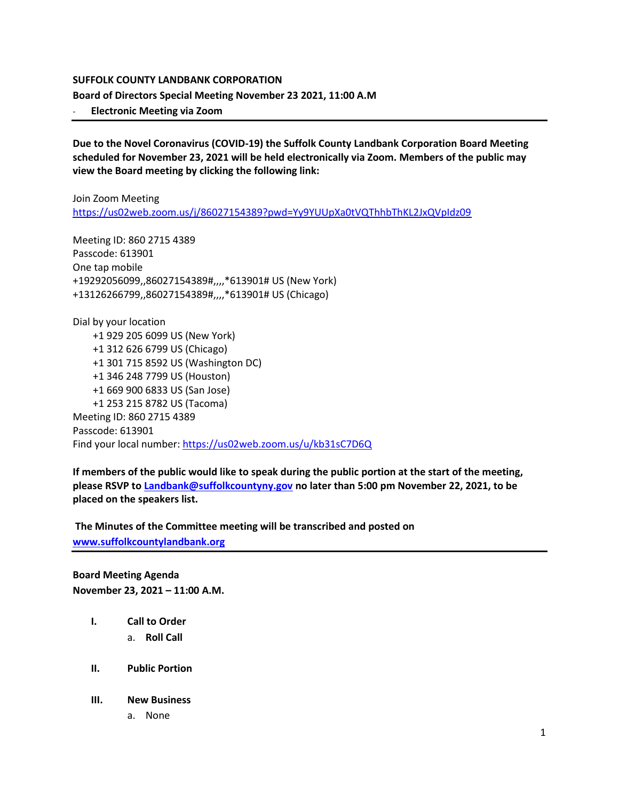#### **SUFFOLK COUNTY LANDBANK CORPORATION**

**Board of Directors Special Meeting November 23 2021, 11:00 A.M**

- **Electronic Meeting via Zoom**

**Due to the Novel Coronavirus (COVID-19) the Suffolk County Landbank Corporation Board Meeting scheduled for November 23, 2021 will be held electronically via Zoom. Members of the public may view the Board meeting by clicking the following link:**

Join Zoom Meeting <https://us02web.zoom.us/j/86027154389?pwd=Yy9YUUpXa0tVQThhbThKL2JxQVpIdz09>

Meeting ID: 860 2715 4389 Passcode: 613901 One tap mobile +19292056099,,86027154389#,,,,\*613901# US (New York) +13126266799,,86027154389#,,,,\*613901# US (Chicago)

Dial by your location +1 929 205 6099 US (New York) +1 312 626 6799 US (Chicago) +1 301 715 8592 US (Washington DC) +1 346 248 7799 US (Houston) +1 669 900 6833 US (San Jose) +1 253 215 8782 US (Tacoma) Meeting ID: 860 2715 4389 Passcode: 613901 Find your local number[: https://us02web.zoom.us/u/kb31sC7D6Q](https://us02web.zoom.us/u/kb31sC7D6Q)

**If members of the public would like to speak during the public portion at the start of the meeting, please RSVP to [Landbank@suffolkcountyny.gov](mailto:Landbank@suffolkcountyny.gov) no later than 5:00 pm November 22, 2021, to be placed on the speakers list.** 

**The Minutes of the Committee meeting will be transcribed and posted on [www.suffolkcountylandbank.org](http://www.suffolkcountylandbank.org/)**

**Board Meeting Agenda November 23, 2021 – 11:00 A.M.**

- **I. Call to Order** 
	- a. **Roll Call**
- **II. Public Portion**
- **III. New Business**
	- a. None